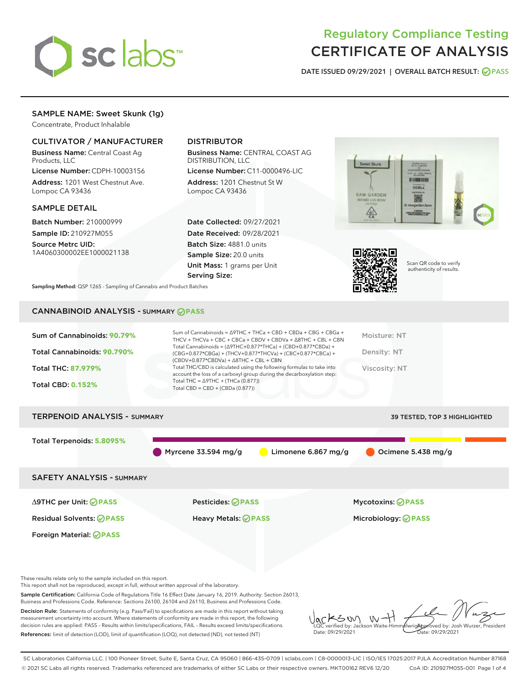

# Regulatory Compliance Testing CERTIFICATE OF ANALYSIS

DATE ISSUED 09/29/2021 | OVERALL BATCH RESULT: @ PASS

# SAMPLE NAME: Sweet Skunk (1g)

Concentrate, Product Inhalable

## CULTIVATOR / MANUFACTURER

Business Name: Central Coast Ag Products, LLC

License Number: CDPH-10003156 Address: 1201 West Chestnut Ave. Lompoc CA 93436

## SAMPLE DETAIL

Batch Number: 210000999 Sample ID: 210927M055

Source Metrc UID: 1A4060300002EE1000021138

## DISTRIBUTOR

Business Name: CENTRAL COAST AG DISTRIBUTION, LLC

License Number: C11-0000496-LIC Address: 1201 Chestnut St W Lompoc CA 93436

Date Collected: 09/27/2021 Date Received: 09/28/2021 Batch Size: 4881.0 units Sample Size: 20.0 units Unit Mass: 1 grams per Unit Serving Size:





Scan QR code to verify authenticity of results.

Sampling Method: QSP 1265 - Sampling of Cannabis and Product Batches

# CANNABINOID ANALYSIS - SUMMARY **PASS**

| Sum of Cannabinoids: 90.79%<br>Total Cannabinoids: 90.790%<br><b>Total THC: 87.979%</b><br><b>Total CBD: 0.152%</b> | Sum of Cannabinoids = $\triangle$ 9THC + THCa + CBD + CBDa + CBG + CBGa +<br>THCV + THCVa + CBC + CBCa + CBDV + CBDVa + $\Delta$ 8THC + CBL + CBN<br>Total Cannabinoids = $(\Delta$ 9THC+0.877*THCa) + (CBD+0.877*CBDa) +<br>(CBG+0.877*CBGa) + (THCV+0.877*THCVa) + (CBC+0.877*CBCa) +<br>(CBDV+0.877*CBDVa) + $\triangle$ 8THC + CBL + CBN<br>Total THC/CBD is calculated using the following formulas to take into<br>account the loss of a carboxyl group during the decarboxylation step:<br>Total THC = $\triangle$ 9THC + (THCa (0.877))<br>Total CBD = CBD + (CBDa (0.877)) | Moisture: NT<br>Density: NT<br>Viscosity: NT |
|---------------------------------------------------------------------------------------------------------------------|-------------------------------------------------------------------------------------------------------------------------------------------------------------------------------------------------------------------------------------------------------------------------------------------------------------------------------------------------------------------------------------------------------------------------------------------------------------------------------------------------------------------------------------------------------------------------------------|----------------------------------------------|
| <b>TERPENOID ANALYSIS - SUMMARY</b>                                                                                 |                                                                                                                                                                                                                                                                                                                                                                                                                                                                                                                                                                                     | 39 TESTED, TOP 3 HIGHLIGHTED                 |
| Total Terpenoids: 5.8095%                                                                                           | Myrcene $33.594$ mg/g<br>Limonene 6.867 mg/g                                                                                                                                                                                                                                                                                                                                                                                                                                                                                                                                        | Ocimene 5.438 mg/g                           |
| <b>SAFETY ANALYSIS - SUMMARY</b>                                                                                    |                                                                                                                                                                                                                                                                                                                                                                                                                                                                                                                                                                                     |                                              |
| ∆9THC per Unit: ⊘PASS<br><b>Residual Solvents: ⊘PASS</b><br><b>Foreign Material: ⊘PASS</b>                          | Pesticides: ⊘PASS<br>Heavy Metals: <b>OPASS</b>                                                                                                                                                                                                                                                                                                                                                                                                                                                                                                                                     | Mycotoxins: ⊘PASS<br>Microbiology: @PASS     |

These results relate only to the sample included on this report.

This report shall not be reproduced, except in full, without written approval of the laboratory.

Sample Certification: California Code of Regulations Title 16 Effect Date January 16, 2019. Authority: Section 26013, Business and Professions Code. Reference: Sections 26100, 26104 and 26110, Business and Professions Code.

Decision Rule: Statements of conformity (e.g. Pass/Fail) to specifications are made in this report without taking measurement uncertainty into account. Where statements of conformity are made in this report, the following decision rules are applied: PASS – Results within limits/specifications, FAIL – Results exceed limits/specifications. References: limit of detection (LOD), limit of quantification (LOQ), not detected (ND), not tested (NT)

arKSW  $W$ -Approved by: Josh Wurzer, President LQC verified by: Jackson Waite-Himmelwright Date: 09/29/2021 Date: 09/29/2021

SC Laboratories California LLC. | 100 Pioneer Street, Suite E, Santa Cruz, CA 95060 | 866-435-0709 | sclabs.com | C8-0000013-LIC | ISO/IES 17025:2017 PJLA Accreditation Number 87168 © 2021 SC Labs all rights reserved. Trademarks referenced are trademarks of either SC Labs or their respective owners. MKT00162 REV6 12/20 CoA ID: 210927M055-001 Page 1 of 4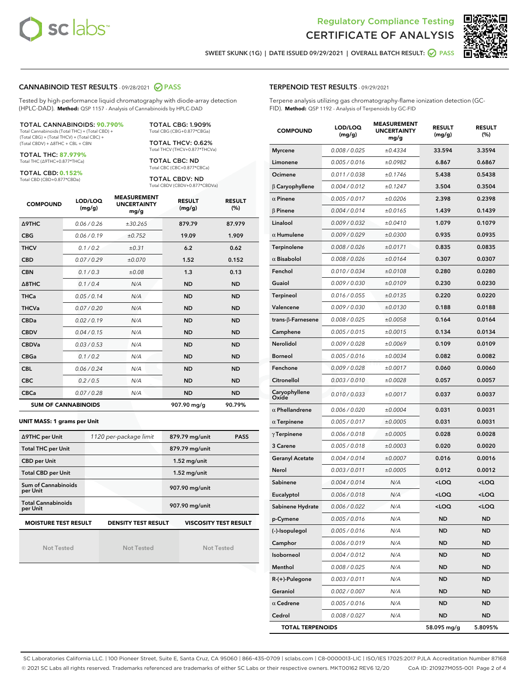



SWEET SKUNK (1G) | DATE ISSUED 09/29/2021 | OVERALL BATCH RESULT: @ PASS

## CANNABINOID TEST RESULTS - 09/28/2021 2 PASS

Tested by high-performance liquid chromatography with diode-array detection (HPLC-DAD). **Method:** QSP 1157 - Analysis of Cannabinoids by HPLC-DAD

#### TOTAL CANNABINOIDS: **90.790%**

Total Cannabinoids (Total THC) + (Total CBD) + (Total CBG) + (Total THCV) + (Total CBC) + (Total CBDV) + ∆8THC + CBL + CBN

TOTAL THC: **87.979%** Total THC (∆9THC+0.877\*THCa)

TOTAL CBD: **0.152%**

Total CBD (CBD+0.877\*CBDa)

TOTAL CBG: 1.909% Total CBG (CBG+0.877\*CBGa)

TOTAL THCV: 0.62% Total THCV (THCV+0.877\*THCVa)

TOTAL CBC: ND Total CBC (CBC+0.877\*CBCa)

TOTAL CBDV: ND Total CBDV (CBDV+0.877\*CBDVa)

| <b>COMPOUND</b>  | LOD/LOQ<br>(mg/g)          | <b>MEASUREMENT</b><br><b>UNCERTAINTY</b><br>mg/g | <b>RESULT</b><br>(mg/g) | <b>RESULT</b><br>(%) |
|------------------|----------------------------|--------------------------------------------------|-------------------------|----------------------|
| <b>A9THC</b>     | 0.06 / 0.26                | ±30.265                                          | 879.79                  | 87.979               |
| <b>CBG</b>       | 0.06/0.19                  | ±0.752                                           | 19.09                   | 1.909                |
| <b>THCV</b>      | 0.1 / 0.2                  | ±0.31                                            | 6.2                     | 0.62                 |
| <b>CBD</b>       | 0.07 / 0.29                | ±0.070                                           | 1.52                    | 0.152                |
| <b>CBN</b>       | 0.1/0.3                    | ±0.08                                            | 1.3                     | 0.13                 |
| $\triangle$ 8THC | 0.1/0.4                    | N/A                                              | <b>ND</b>               | <b>ND</b>            |
| <b>THCa</b>      | 0.05/0.14                  | N/A                                              | <b>ND</b>               | <b>ND</b>            |
| <b>THCVa</b>     | 0.07/0.20                  | N/A                                              | <b>ND</b>               | <b>ND</b>            |
| <b>CBDa</b>      | 0.02/0.19                  | N/A                                              | <b>ND</b>               | <b>ND</b>            |
| <b>CBDV</b>      | 0.04 / 0.15                | N/A                                              | <b>ND</b>               | <b>ND</b>            |
| <b>CBDVa</b>     | 0.03/0.53                  | N/A                                              | <b>ND</b>               | <b>ND</b>            |
| <b>CBGa</b>      | 0.1/0.2                    | N/A                                              | <b>ND</b>               | <b>ND</b>            |
| <b>CBL</b>       | 0.06 / 0.24                | N/A                                              | <b>ND</b>               | <b>ND</b>            |
| <b>CBC</b>       | 0.2 / 0.5                  | N/A                                              | <b>ND</b>               | <b>ND</b>            |
| <b>CBCa</b>      | 0.07 / 0.28                | N/A                                              | <b>ND</b>               | <b>ND</b>            |
|                  | <b>SUM OF CANNABINOIDS</b> |                                                  | 907.90 mg/g             | 90.79%               |

#### **UNIT MASS: 1 grams per Unit**

| ∆9THC per Unit                                                                            | 1120 per-package limit | 879.79 mg/unit<br><b>PASS</b> |  |  |  |
|-------------------------------------------------------------------------------------------|------------------------|-------------------------------|--|--|--|
| <b>Total THC per Unit</b>                                                                 |                        | 879.79 mg/unit                |  |  |  |
| <b>CBD per Unit</b>                                                                       |                        | $1.52$ mg/unit                |  |  |  |
| <b>Total CBD per Unit</b>                                                                 |                        | $1.52$ mg/unit                |  |  |  |
| Sum of Cannabinoids<br>per Unit                                                           |                        | 907.90 mg/unit                |  |  |  |
| <b>Total Cannabinoids</b><br>per Unit                                                     |                        | 907.90 mg/unit                |  |  |  |
| <b>MOISTURE TEST RESULT</b><br><b>DENSITY TEST RESULT</b><br><b>VISCOSITY TEST RESULT</b> |                        |                               |  |  |  |

Not Tested

Not Tested

Not Tested

TERPENOID TEST RESULTS - 09/29/2021

Terpene analysis utilizing gas chromatography-flame ionization detection (GC-FID). **Method:** QSP 1192 - Analysis of Terpenoids by GC-FID

| <b>COMPOUND</b>         | LOD/LOQ<br>(mg/g) | <b>MEASUREMENT</b><br><b>UNCERTAINTY</b><br>mq/q | <b>RESULT</b><br>(mg/g)                         | <b>RESULT</b><br>(%) |
|-------------------------|-------------------|--------------------------------------------------|-------------------------------------------------|----------------------|
| <b>Myrcene</b>          | 0.008 / 0.025     | ±0.4334                                          | 33.594                                          | 3.3594               |
| Limonene                | 0.005 / 0.016     | ±0.0982                                          | 6.867                                           | 0.6867               |
| Ocimene                 | 0.011 / 0.038     | ±0.1746                                          | 5.438                                           | 0.5438               |
| $\beta$ Caryophyllene   | 0.004 / 0.012     | ±0.1247                                          | 3.504                                           | 0.3504               |
| $\alpha$ Pinene         | 0.005 / 0.017     | ±0.0206                                          | 2.398                                           | 0.2398               |
| <b>β Pinene</b>         | 0.004 / 0.014     | ±0.0165                                          | 1.439                                           | 0.1439               |
| Linalool                | 0.009 / 0.032     | ±0.0410                                          | 1.079                                           | 0.1079               |
| $\alpha$ Humulene       | 0.009 / 0.029     | ±0.0300                                          | 0.935                                           | 0.0935               |
| Terpinolene             | 0.008 / 0.026     | ±0.0171                                          | 0.835                                           | 0.0835               |
| $\alpha$ Bisabolol      | 0.008 / 0.026     | ±0.0164                                          | 0.307                                           | 0.0307               |
| Fenchol                 | 0.010 / 0.034     | ±0.0108                                          | 0.280                                           | 0.0280               |
| Guaiol                  | 0.009 / 0.030     | ±0.0109                                          | 0.230                                           | 0.0230               |
| Terpineol               | 0.016 / 0.055     | ±0.0135                                          | 0.220                                           | 0.0220               |
| Valencene               | 0.009 / 0.030     | ±0.0130                                          | 0.188                                           | 0.0188               |
| trans-ß-Farnesene       | 0.008 / 0.025     | ±0.0058                                          | 0.164                                           | 0.0164               |
| Camphene                | 0.005 / 0.015     | ±0.0015                                          | 0.134                                           | 0.0134               |
| Nerolidol               | 0.009 / 0.028     | ±0.0069                                          | 0.109                                           | 0.0109               |
| <b>Borneol</b>          | 0.005 / 0.016     | ±0.0034                                          | 0.082                                           | 0.0082               |
| Fenchone                | 0.009 / 0.028     | ±0.0017                                          | 0.060                                           | 0.0060               |
| Citronellol             | 0.003 / 0.010     | ±0.0028                                          | 0.057                                           | 0.0057               |
| Caryophyllene<br>Oxide  | 0.010 / 0.033     | ±0.0017                                          | 0.037                                           | 0.0037               |
| $\alpha$ Phellandrene   | 0.006 / 0.020     | ±0.0004                                          | 0.031                                           | 0.0031               |
| $\alpha$ Terpinene      | 0.005 / 0.017     | ±0.0005                                          | 0.031                                           | 0.0031               |
| $\gamma$ Terpinene      | 0.006 / 0.018     | ±0.0005                                          | 0.028                                           | 0.0028               |
| 3 Carene                | 0.005 / 0.018     | ±0.0003                                          | 0.020                                           | 0.0020               |
| <b>Geranyl Acetate</b>  | 0.004 / 0.014     | ±0.0007                                          | 0.016                                           | 0.0016               |
| Nerol                   | 0.003 / 0.011     | ±0.0005                                          | 0.012                                           | 0.0012               |
| Sabinene                | 0.004 / 0.014     | N/A                                              | <loq< th=""><th><loq< th=""></loq<></th></loq<> | <loq< th=""></loq<>  |
| Eucalyptol              | 0.006 / 0.018     | N/A                                              | <loq< th=""><th><loq< th=""></loq<></th></loq<> | <loq< th=""></loq<>  |
| Sabinene Hydrate        | 0.006 / 0.022     | N/A                                              | $<$ LOQ                                         | $<$ LOQ              |
| p-Cymene                | 0.005 / 0.016     | N/A                                              | ND                                              | ND                   |
| (-)-Isopulegol          | 0.005 / 0.016     | N/A                                              | ND                                              | ND                   |
| Camphor                 | 0.006 / 0.019     | N/A                                              | ND                                              | <b>ND</b>            |
| Isoborneol              | 0.004 / 0.012     | N/A                                              | ND                                              | ND                   |
| Menthol                 | 0.008 / 0.025     | N/A                                              | ND                                              | ND                   |
| $R-(+)$ -Pulegone       | 0.003 / 0.011     | N/A                                              | ND                                              | ND                   |
| Geraniol                | 0.002 / 0.007     | N/A                                              | ND                                              | ND                   |
| $\alpha$ Cedrene        | 0.005 / 0.016     | N/A                                              | ND                                              | ND                   |
| Cedrol                  | 0.008 / 0.027     | N/A                                              | ND                                              | ND                   |
| <b>TOTAL TERPENOIDS</b> |                   | 58.095 mg/g                                      | 5.8095%                                         |                      |

SC Laboratories California LLC. | 100 Pioneer Street, Suite E, Santa Cruz, CA 95060 | 866-435-0709 | sclabs.com | C8-0000013-LIC | ISO/IES 17025:2017 PJLA Accreditation Number 87168 © 2021 SC Labs all rights reserved. Trademarks referenced are trademarks of either SC Labs or their respective owners. MKT00162 REV6 12/20 CoA ID: 210927M055-001 Page 2 of 4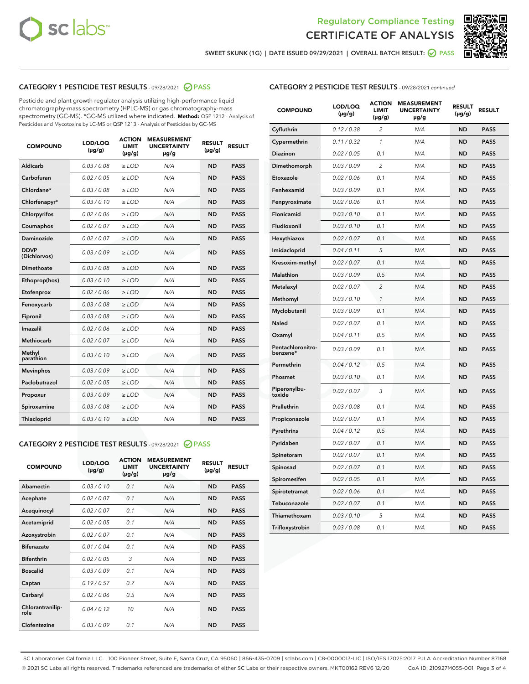



SWEET SKUNK (1G) | DATE ISSUED 09/29/2021 | OVERALL BATCH RESULT: @ PASS

## CATEGORY 1 PESTICIDE TEST RESULTS - 09/28/2021 2 PASS

Pesticide and plant growth regulator analysis utilizing high-performance liquid chromatography-mass spectrometry (HPLC-MS) or gas chromatography-mass spectrometry (GC-MS). \*GC-MS utilized where indicated. **Method:** QSP 1212 - Analysis of Pesticides and Mycotoxins by LC-MS or QSP 1213 - Analysis of Pesticides by GC-MS

| 0.03 / 0.08<br><b>ND</b><br><b>PASS</b><br>Aldicarb<br>$\ge$ LOD<br>N/A<br>Carbofuran<br>0.02 / 0.05<br>$\ge$ LOD<br>N/A<br><b>ND</b><br><b>PASS</b><br>Chlordane*<br>0.03 / 0.08<br>$\ge$ LOD<br>N/A<br><b>ND</b><br><b>PASS</b><br>Chlorfenapyr*<br>0.03/0.10<br>$\ge$ LOD<br>N/A<br><b>ND</b><br><b>PASS</b><br>Chlorpyrifos<br>0.02 / 0.06<br>N/A<br><b>ND</b><br><b>PASS</b><br>$\ge$ LOD<br>Coumaphos<br>0.02 / 0.07<br>N/A<br><b>ND</b><br><b>PASS</b><br>$\ge$ LOD<br>Daminozide<br>0.02 / 0.07<br>N/A<br><b>ND</b><br><b>PASS</b><br>$\ge$ LOD<br><b>DDVP</b><br>0.03/0.09<br>$>$ LOD<br>N/A<br><b>ND</b><br><b>PASS</b><br>(Dichlorvos)<br><b>Dimethoate</b><br>0.03 / 0.08<br>$\ge$ LOD<br><b>ND</b><br><b>PASS</b><br>N/A<br>0.03/0.10<br>N/A<br><b>ND</b><br><b>PASS</b><br>Ethoprop(hos)<br>$>$ LOD<br>N/A<br><b>ND</b><br><b>PASS</b><br>Etofenprox<br>0.02 / 0.06<br>$\ge$ LOD<br>Fenoxycarb<br>0.03 / 0.08<br>$\ge$ LOD<br>N/A<br><b>ND</b><br><b>PASS</b><br>0.03/0.08<br>$\ge$ LOD<br>N/A<br><b>ND</b><br><b>PASS</b><br>Fipronil<br>Imazalil<br>0.02 / 0.06<br>$\geq$ LOD<br>N/A<br><b>ND</b><br><b>PASS</b><br><b>Methiocarb</b><br>0.02 / 0.07<br>$\ge$ LOD<br>N/A<br><b>ND</b><br><b>PASS</b><br>Methyl<br>0.03/0.10<br>N/A<br><b>ND</b><br><b>PASS</b><br>$\ge$ LOD<br>parathion<br>0.03/0.09<br><b>Mevinphos</b><br>$\ge$ LOD<br>N/A<br><b>ND</b><br><b>PASS</b><br>Paclobutrazol<br>0.02 / 0.05<br>$>$ LOD<br>N/A<br><b>ND</b><br><b>PASS</b><br>0.03 / 0.09<br>N/A<br>$\ge$ LOD<br><b>ND</b><br><b>PASS</b><br>Propoxur<br>0.03 / 0.08<br><b>ND</b><br><b>PASS</b><br>Spiroxamine<br>$\ge$ LOD<br>N/A<br>Thiacloprid<br>0.03/0.10<br>$\ge$ LOD<br>N/A<br><b>ND</b><br><b>PASS</b> | <b>COMPOUND</b> | LOD/LOQ<br>$(\mu g/g)$ | <b>ACTION</b><br><b>LIMIT</b><br>$(\mu g/g)$ | <b>MEASUREMENT</b><br><b>UNCERTAINTY</b><br>$\mu$ g/g | <b>RESULT</b><br>$(\mu g/g)$ | <b>RESULT</b> |
|--------------------------------------------------------------------------------------------------------------------------------------------------------------------------------------------------------------------------------------------------------------------------------------------------------------------------------------------------------------------------------------------------------------------------------------------------------------------------------------------------------------------------------------------------------------------------------------------------------------------------------------------------------------------------------------------------------------------------------------------------------------------------------------------------------------------------------------------------------------------------------------------------------------------------------------------------------------------------------------------------------------------------------------------------------------------------------------------------------------------------------------------------------------------------------------------------------------------------------------------------------------------------------------------------------------------------------------------------------------------------------------------------------------------------------------------------------------------------------------------------------------------------------------------------------------------------------------------------------------------------------------------------------------------------------------------------------------|-----------------|------------------------|----------------------------------------------|-------------------------------------------------------|------------------------------|---------------|
|                                                                                                                                                                                                                                                                                                                                                                                                                                                                                                                                                                                                                                                                                                                                                                                                                                                                                                                                                                                                                                                                                                                                                                                                                                                                                                                                                                                                                                                                                                                                                                                                                                                                                                              |                 |                        |                                              |                                                       |                              |               |
|                                                                                                                                                                                                                                                                                                                                                                                                                                                                                                                                                                                                                                                                                                                                                                                                                                                                                                                                                                                                                                                                                                                                                                                                                                                                                                                                                                                                                                                                                                                                                                                                                                                                                                              |                 |                        |                                              |                                                       |                              |               |
|                                                                                                                                                                                                                                                                                                                                                                                                                                                                                                                                                                                                                                                                                                                                                                                                                                                                                                                                                                                                                                                                                                                                                                                                                                                                                                                                                                                                                                                                                                                                                                                                                                                                                                              |                 |                        |                                              |                                                       |                              |               |
|                                                                                                                                                                                                                                                                                                                                                                                                                                                                                                                                                                                                                                                                                                                                                                                                                                                                                                                                                                                                                                                                                                                                                                                                                                                                                                                                                                                                                                                                                                                                                                                                                                                                                                              |                 |                        |                                              |                                                       |                              |               |
|                                                                                                                                                                                                                                                                                                                                                                                                                                                                                                                                                                                                                                                                                                                                                                                                                                                                                                                                                                                                                                                                                                                                                                                                                                                                                                                                                                                                                                                                                                                                                                                                                                                                                                              |                 |                        |                                              |                                                       |                              |               |
|                                                                                                                                                                                                                                                                                                                                                                                                                                                                                                                                                                                                                                                                                                                                                                                                                                                                                                                                                                                                                                                                                                                                                                                                                                                                                                                                                                                                                                                                                                                                                                                                                                                                                                              |                 |                        |                                              |                                                       |                              |               |
|                                                                                                                                                                                                                                                                                                                                                                                                                                                                                                                                                                                                                                                                                                                                                                                                                                                                                                                                                                                                                                                                                                                                                                                                                                                                                                                                                                                                                                                                                                                                                                                                                                                                                                              |                 |                        |                                              |                                                       |                              |               |
|                                                                                                                                                                                                                                                                                                                                                                                                                                                                                                                                                                                                                                                                                                                                                                                                                                                                                                                                                                                                                                                                                                                                                                                                                                                                                                                                                                                                                                                                                                                                                                                                                                                                                                              |                 |                        |                                              |                                                       |                              |               |
|                                                                                                                                                                                                                                                                                                                                                                                                                                                                                                                                                                                                                                                                                                                                                                                                                                                                                                                                                                                                                                                                                                                                                                                                                                                                                                                                                                                                                                                                                                                                                                                                                                                                                                              |                 |                        |                                              |                                                       |                              |               |
|                                                                                                                                                                                                                                                                                                                                                                                                                                                                                                                                                                                                                                                                                                                                                                                                                                                                                                                                                                                                                                                                                                                                                                                                                                                                                                                                                                                                                                                                                                                                                                                                                                                                                                              |                 |                        |                                              |                                                       |                              |               |
|                                                                                                                                                                                                                                                                                                                                                                                                                                                                                                                                                                                                                                                                                                                                                                                                                                                                                                                                                                                                                                                                                                                                                                                                                                                                                                                                                                                                                                                                                                                                                                                                                                                                                                              |                 |                        |                                              |                                                       |                              |               |
|                                                                                                                                                                                                                                                                                                                                                                                                                                                                                                                                                                                                                                                                                                                                                                                                                                                                                                                                                                                                                                                                                                                                                                                                                                                                                                                                                                                                                                                                                                                                                                                                                                                                                                              |                 |                        |                                              |                                                       |                              |               |
|                                                                                                                                                                                                                                                                                                                                                                                                                                                                                                                                                                                                                                                                                                                                                                                                                                                                                                                                                                                                                                                                                                                                                                                                                                                                                                                                                                                                                                                                                                                                                                                                                                                                                                              |                 |                        |                                              |                                                       |                              |               |
|                                                                                                                                                                                                                                                                                                                                                                                                                                                                                                                                                                                                                                                                                                                                                                                                                                                                                                                                                                                                                                                                                                                                                                                                                                                                                                                                                                                                                                                                                                                                                                                                                                                                                                              |                 |                        |                                              |                                                       |                              |               |
|                                                                                                                                                                                                                                                                                                                                                                                                                                                                                                                                                                                                                                                                                                                                                                                                                                                                                                                                                                                                                                                                                                                                                                                                                                                                                                                                                                                                                                                                                                                                                                                                                                                                                                              |                 |                        |                                              |                                                       |                              |               |
|                                                                                                                                                                                                                                                                                                                                                                                                                                                                                                                                                                                                                                                                                                                                                                                                                                                                                                                                                                                                                                                                                                                                                                                                                                                                                                                                                                                                                                                                                                                                                                                                                                                                                                              |                 |                        |                                              |                                                       |                              |               |
|                                                                                                                                                                                                                                                                                                                                                                                                                                                                                                                                                                                                                                                                                                                                                                                                                                                                                                                                                                                                                                                                                                                                                                                                                                                                                                                                                                                                                                                                                                                                                                                                                                                                                                              |                 |                        |                                              |                                                       |                              |               |
|                                                                                                                                                                                                                                                                                                                                                                                                                                                                                                                                                                                                                                                                                                                                                                                                                                                                                                                                                                                                                                                                                                                                                                                                                                                                                                                                                                                                                                                                                                                                                                                                                                                                                                              |                 |                        |                                              |                                                       |                              |               |
|                                                                                                                                                                                                                                                                                                                                                                                                                                                                                                                                                                                                                                                                                                                                                                                                                                                                                                                                                                                                                                                                                                                                                                                                                                                                                                                                                                                                                                                                                                                                                                                                                                                                                                              |                 |                        |                                              |                                                       |                              |               |
|                                                                                                                                                                                                                                                                                                                                                                                                                                                                                                                                                                                                                                                                                                                                                                                                                                                                                                                                                                                                                                                                                                                                                                                                                                                                                                                                                                                                                                                                                                                                                                                                                                                                                                              |                 |                        |                                              |                                                       |                              |               |
|                                                                                                                                                                                                                                                                                                                                                                                                                                                                                                                                                                                                                                                                                                                                                                                                                                                                                                                                                                                                                                                                                                                                                                                                                                                                                                                                                                                                                                                                                                                                                                                                                                                                                                              |                 |                        |                                              |                                                       |                              |               |

#### CATEGORY 2 PESTICIDE TEST RESULTS - 09/28/2021 @ PASS

| <b>COMPOUND</b>          | LOD/LOO<br>$(\mu g/g)$ | <b>ACTION</b><br>LIMIT<br>$(\mu g/g)$ | <b>MEASUREMENT</b><br><b>UNCERTAINTY</b><br>$\mu$ g/g | <b>RESULT</b><br>$(\mu g/g)$ | <b>RESULT</b> |
|--------------------------|------------------------|---------------------------------------|-------------------------------------------------------|------------------------------|---------------|
| Abamectin                | 0.03/0.10              | 0.1                                   | N/A                                                   | <b>ND</b>                    | <b>PASS</b>   |
| Acephate                 | 0.02/0.07              | 0.1                                   | N/A                                                   | <b>ND</b>                    | <b>PASS</b>   |
| Acequinocyl              | 0.02/0.07              | 0.1                                   | N/A                                                   | <b>ND</b>                    | <b>PASS</b>   |
| Acetamiprid              | 0.02/0.05              | 0.1                                   | N/A                                                   | <b>ND</b>                    | <b>PASS</b>   |
| Azoxystrobin             | 0.02/0.07              | 0.1                                   | N/A                                                   | <b>ND</b>                    | <b>PASS</b>   |
| <b>Bifenazate</b>        | 0.01 / 0.04            | 0.1                                   | N/A                                                   | <b>ND</b>                    | <b>PASS</b>   |
| <b>Bifenthrin</b>        | 0.02/0.05              | 3                                     | N/A                                                   | <b>ND</b>                    | <b>PASS</b>   |
| <b>Boscalid</b>          | 0.03/0.09              | 0.1                                   | N/A                                                   | <b>ND</b>                    | <b>PASS</b>   |
| Captan                   | 0.19/0.57              | 0.7                                   | N/A                                                   | <b>ND</b>                    | <b>PASS</b>   |
| Carbaryl                 | 0.02/0.06              | 0.5                                   | N/A                                                   | <b>ND</b>                    | <b>PASS</b>   |
| Chlorantranilip-<br>role | 0.04/0.12              | 10                                    | N/A                                                   | <b>ND</b>                    | <b>PASS</b>   |
| Clofentezine             | 0.03/0.09              | 0.1                                   | N/A                                                   | <b>ND</b>                    | <b>PASS</b>   |

| <b>COMPOUND</b>               | LOD/LOQ<br>(µg/g) | <b>ACTION</b><br>LIMIT<br>(µg/g) | <b>MEASUREMENT</b><br><b>UNCERTAINTY</b><br>µg/g | <b>RESULT</b><br>(µg/g) | <b>RESULT</b> |
|-------------------------------|-------------------|----------------------------------|--------------------------------------------------|-------------------------|---------------|
| Cyfluthrin                    | 0.12 / 0.38       | 2                                | N/A                                              | <b>ND</b>               | <b>PASS</b>   |
| Cypermethrin                  | 0.11 / 0.32       | 1                                | N/A                                              | <b>ND</b>               | <b>PASS</b>   |
| Diazinon                      | 0.02 / 0.05       | 0.1                              | N/A                                              | <b>ND</b>               | <b>PASS</b>   |
| Dimethomorph                  | 0.03 / 0.09       | 2                                | N/A                                              | <b>ND</b>               | <b>PASS</b>   |
| Etoxazole                     | 0.02 / 0.06       | 0.1                              | N/A                                              | <b>ND</b>               | <b>PASS</b>   |
| Fenhexamid                    | 0.03 / 0.09       | 0.1                              | N/A                                              | <b>ND</b>               | <b>PASS</b>   |
| Fenpyroximate                 | 0.02 / 0.06       | 0.1                              | N/A                                              | <b>ND</b>               | <b>PASS</b>   |
| Flonicamid                    | 0.03 / 0.10       | 0.1                              | N/A                                              | <b>ND</b>               | <b>PASS</b>   |
| Fludioxonil                   | 0.03 / 0.10       | 0.1                              | N/A                                              | <b>ND</b>               | <b>PASS</b>   |
| Hexythiazox                   | 0.02 / 0.07       | 0.1                              | N/A                                              | <b>ND</b>               | <b>PASS</b>   |
| Imidacloprid                  | 0.04 / 0.11       | 5                                | N/A                                              | <b>ND</b>               | <b>PASS</b>   |
| Kresoxim-methyl               | 0.02 / 0.07       | 0.1                              | N/A                                              | <b>ND</b>               | <b>PASS</b>   |
| Malathion                     | 0.03 / 0.09       | 0.5                              | N/A                                              | <b>ND</b>               | <b>PASS</b>   |
| Metalaxyl                     | 0.02 / 0.07       | $\overline{c}$                   | N/A                                              | <b>ND</b>               | <b>PASS</b>   |
| Methomyl                      | 0.03 / 0.10       | $\mathcal{I}$                    | N/A                                              | <b>ND</b>               | <b>PASS</b>   |
| Myclobutanil                  | 0.03 / 0.09       | 0.1                              | N/A                                              | <b>ND</b>               | <b>PASS</b>   |
| <b>Naled</b>                  | 0.02 / 0.07       | 0.1                              | N/A                                              | <b>ND</b>               | <b>PASS</b>   |
| Oxamyl                        | 0.04 / 0.11       | 0.5                              | N/A                                              | ND                      | <b>PASS</b>   |
| Pentachloronitro-<br>benzene* | 0.03 / 0.09       | 0.1                              | N/A                                              | <b>ND</b>               | <b>PASS</b>   |
| Permethrin                    | 0.04 / 0.12       | 0.5                              | N/A                                              | <b>ND</b>               | <b>PASS</b>   |
| Phosmet                       | 0.03/0.10         | 0.1                              | N/A                                              | <b>ND</b>               | <b>PASS</b>   |
| Piperonylbu-<br>toxide        | 0.02 / 0.07       | 3                                | N/A                                              | <b>ND</b>               | <b>PASS</b>   |
| Prallethrin                   | 0.03 / 0.08       | 0.1                              | N/A                                              | <b>ND</b>               | <b>PASS</b>   |
| Propiconazole                 | 0.02 / 0.07       | 0.1                              | N/A                                              | ND                      | <b>PASS</b>   |
| Pyrethrins                    | 0.04 / 0.12       | 0.5                              | N/A                                              | <b>ND</b>               | <b>PASS</b>   |
| Pyridaben                     | 0.02 / 0.07       | 0.1                              | N/A                                              | ND                      | <b>PASS</b>   |
| Spinetoram                    | 0.02 / 0.07       | 0.1                              | N/A                                              | ND                      | <b>PASS</b>   |
| Spinosad                      | 0.02 / 0.07       | 0.1                              | N/A                                              | <b>ND</b>               | <b>PASS</b>   |
| Spiromesifen                  | 0.02 / 0.05       | 0.1                              | N/A                                              | <b>ND</b>               | <b>PASS</b>   |
| Spirotetramat                 | 0.02 / 0.06       | 0.1                              | N/A                                              | <b>ND</b>               | <b>PASS</b>   |
| Tebuconazole                  | 0.02 / 0.07       | 0.1                              | N/A                                              | ND                      | PASS          |
| Thiamethoxam                  | 0.03 / 0.10       | 5                                | N/A                                              | <b>ND</b>               | <b>PASS</b>   |
| Trifloxystrobin               | 0.03 / 0.08       | 0.1                              | N/A                                              | <b>ND</b>               | <b>PASS</b>   |

SC Laboratories California LLC. | 100 Pioneer Street, Suite E, Santa Cruz, CA 95060 | 866-435-0709 | sclabs.com | C8-0000013-LIC | ISO/IES 17025:2017 PJLA Accreditation Number 87168 © 2021 SC Labs all rights reserved. Trademarks referenced are trademarks of either SC Labs or their respective owners. MKT00162 REV6 12/20 CoA ID: 210927M055-001 Page 3 of 4